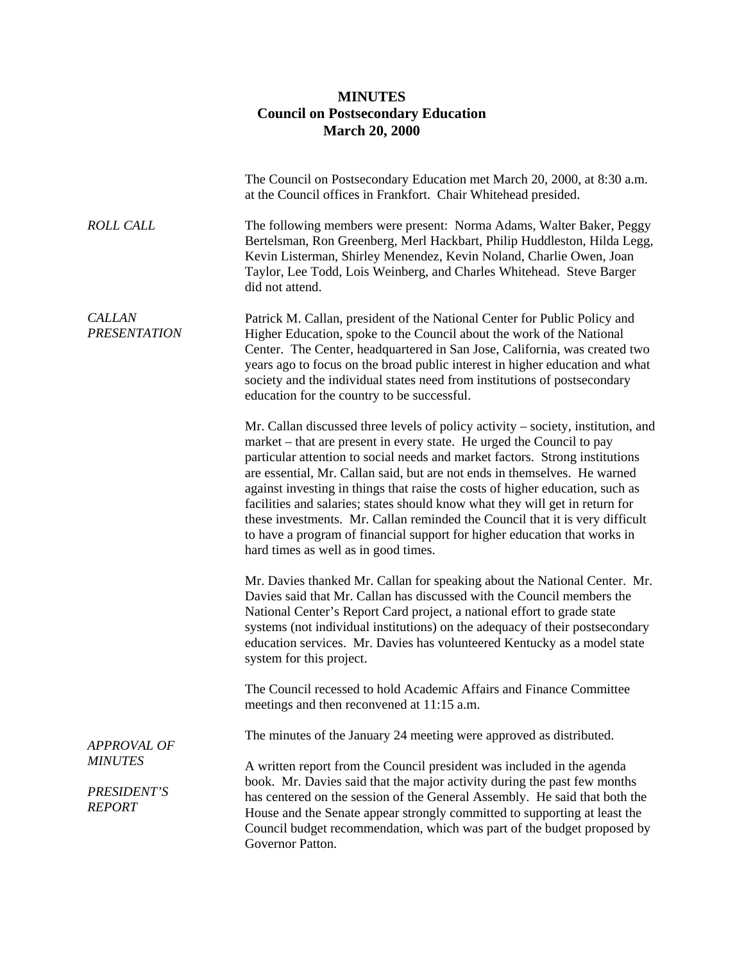## **MINUTES Council on Postsecondary Education March 20, 2000**

|                                                                      | The Council on Postsecondary Education met March 20, 2000, at 8:30 a.m.<br>at the Council offices in Frankfort. Chair Whitehead presided.                                                                                                                                                                                                                                                                                                                                                                                                                                                                                                                                                    |
|----------------------------------------------------------------------|----------------------------------------------------------------------------------------------------------------------------------------------------------------------------------------------------------------------------------------------------------------------------------------------------------------------------------------------------------------------------------------------------------------------------------------------------------------------------------------------------------------------------------------------------------------------------------------------------------------------------------------------------------------------------------------------|
| <b>ROLL CALL</b>                                                     | The following members were present: Norma Adams, Walter Baker, Peggy<br>Bertelsman, Ron Greenberg, Merl Hackbart, Philip Huddleston, Hilda Legg,<br>Kevin Listerman, Shirley Menendez, Kevin Noland, Charlie Owen, Joan<br>Taylor, Lee Todd, Lois Weinberg, and Charles Whitehead. Steve Barger<br>did not attend.                                                                                                                                                                                                                                                                                                                                                                           |
| <b>CALLAN</b><br><b>PRESENTATION</b>                                 | Patrick M. Callan, president of the National Center for Public Policy and<br>Higher Education, spoke to the Council about the work of the National<br>Center. The Center, headquartered in San Jose, California, was created two<br>years ago to focus on the broad public interest in higher education and what<br>society and the individual states need from institutions of postsecondary<br>education for the country to be successful.                                                                                                                                                                                                                                                 |
|                                                                      | Mr. Callan discussed three levels of policy activity – society, institution, and<br>market – that are present in every state. He urged the Council to pay<br>particular attention to social needs and market factors. Strong institutions<br>are essential, Mr. Callan said, but are not ends in themselves. He warned<br>against investing in things that raise the costs of higher education, such as<br>facilities and salaries; states should know what they will get in return for<br>these investments. Mr. Callan reminded the Council that it is very difficult<br>to have a program of financial support for higher education that works in<br>hard times as well as in good times. |
|                                                                      | Mr. Davies thanked Mr. Callan for speaking about the National Center. Mr.<br>Davies said that Mr. Callan has discussed with the Council members the<br>National Center's Report Card project, a national effort to grade state<br>systems (not individual institutions) on the adequacy of their postsecondary<br>education services. Mr. Davies has volunteered Kentucky as a model state<br>system for this project.                                                                                                                                                                                                                                                                       |
|                                                                      | The Council recessed to hold Academic Affairs and Finance Committee<br>meetings and then reconvened at 11:15 a.m.                                                                                                                                                                                                                                                                                                                                                                                                                                                                                                                                                                            |
|                                                                      | The minutes of the January 24 meeting were approved as distributed.                                                                                                                                                                                                                                                                                                                                                                                                                                                                                                                                                                                                                          |
| <b>APPROVAL OF</b><br><b>MINUTES</b><br>PRESIDENT'S<br><b>REPORT</b> | A written report from the Council president was included in the agenda<br>book. Mr. Davies said that the major activity during the past few months<br>has centered on the session of the General Assembly. He said that both the<br>House and the Senate appear strongly committed to supporting at least the<br>Council budget recommendation, which was part of the budget proposed by<br>Governor Patton.                                                                                                                                                                                                                                                                                 |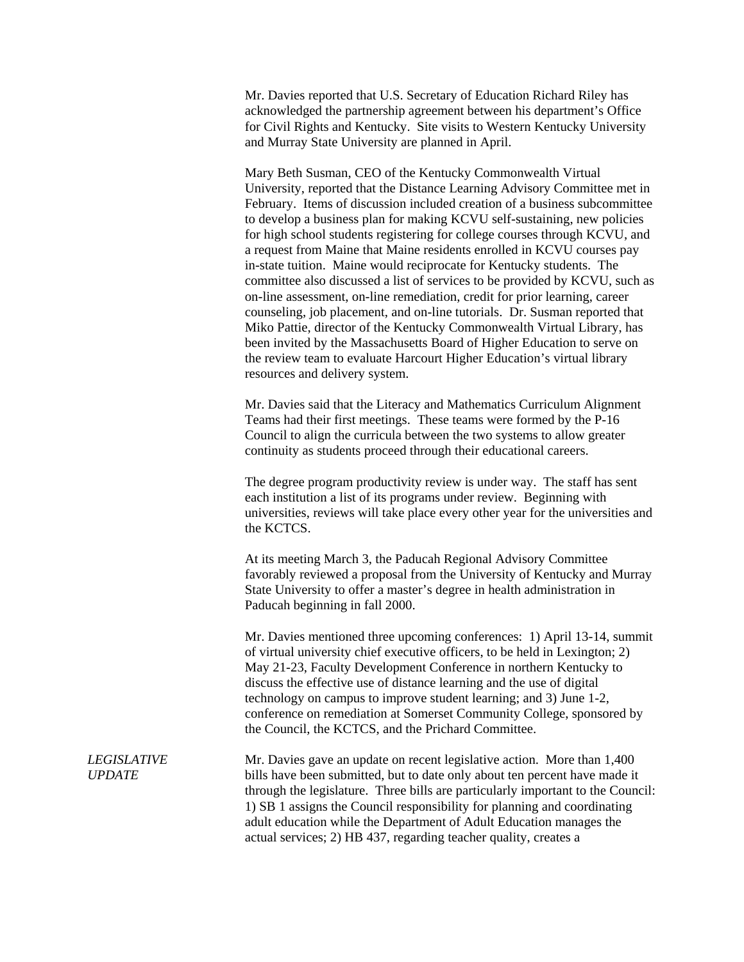Mr. Davies reported that U.S. Secretary of Education Richard Riley has acknowledged the partnership agreement between his department's Office for Civil Rights and Kentucky. Site visits to Western Kentucky University and Murray State University are planned in April.

Mary Beth Susman, CEO of the Kentucky Commonwealth Virtual University, reported that the Distance Learning Advisory Committee met in February. Items of discussion included creation of a business subcommittee to develop a business plan for making KCVU self-sustaining, new policies for high school students registering for college courses through KCVU, and a request from Maine that Maine residents enrolled in KCVU courses pay in-state tuition. Maine would reciprocate for Kentucky students. The committee also discussed a list of services to be provided by KCVU, such as on-line assessment, on-line remediation, credit for prior learning, career counseling, job placement, and on-line tutorials. Dr. Susman reported that Miko Pattie, director of the Kentucky Commonwealth Virtual Library, has been invited by the Massachusetts Board of Higher Education to serve on the review team to evaluate Harcourt Higher Education's virtual library resources and delivery system.

Mr. Davies said that the Literacy and Mathematics Curriculum Alignment Teams had their first meetings. These teams were formed by the P-16 Council to align the curricula between the two systems to allow greater continuity as students proceed through their educational careers.

The degree program productivity review is under way. The staff has sent each institution a list of its programs under review. Beginning with universities, reviews will take place every other year for the universities and the KCTCS.

At its meeting March 3, the Paducah Regional Advisory Committee favorably reviewed a proposal from the University of Kentucky and Murray State University to offer a master's degree in health administration in Paducah beginning in fall 2000.

Mr. Davies mentioned three upcoming conferences: 1) April 13-14, summit of virtual university chief executive officers, to be held in Lexington; 2) May 21-23, Faculty Development Conference in northern Kentucky to discuss the effective use of distance learning and the use of digital technology on campus to improve student learning; and 3) June 1-2, conference on remediation at Somerset Community College, sponsored by the Council, the KCTCS, and the Prichard Committee.

*LEGISLATIVE UPDATE* Mr. Davies gave an update on recent legislative action. More than 1,400 bills have been submitted, but to date only about ten percent have made it through the legislature. Three bills are particularly important to the Council: 1) SB 1 assigns the Council responsibility for planning and coordinating adult education while the Department of Adult Education manages the actual services; 2) HB 437, regarding teacher quality, creates a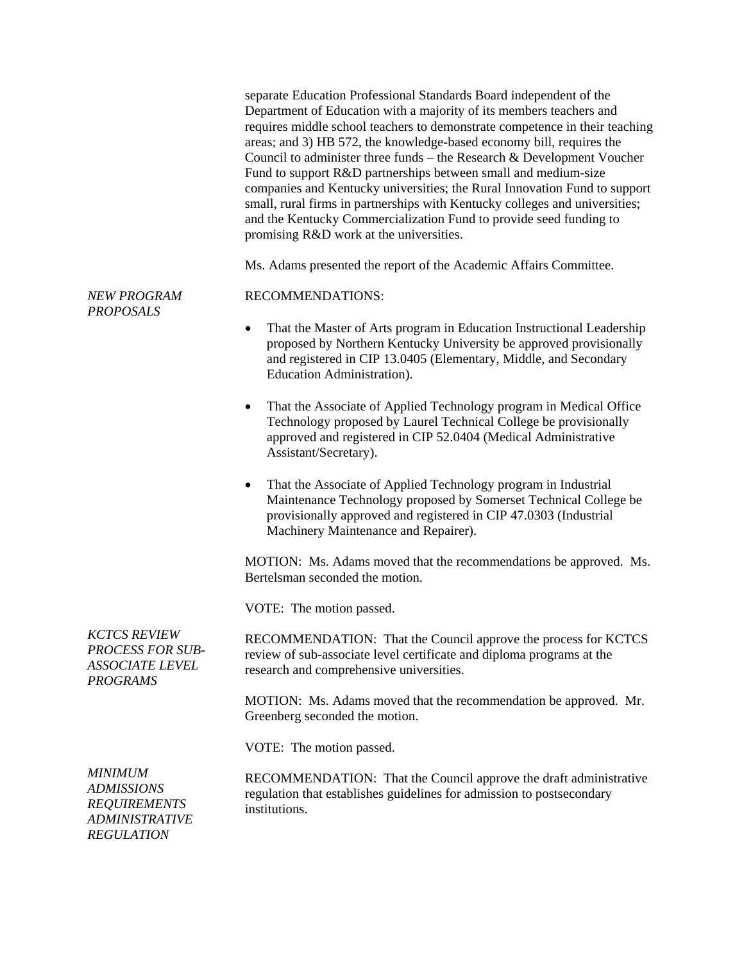*NEW PROGRAM*  separate Education Professional Standards Board independent of the Department of Education with a majority of its members teachers and requires middle school teachers to demonstrate competence in their teaching areas; and 3) HB 572, the knowledge-based economy bill, requires the Council to administer three funds – the Research & Development Voucher Fund to support R&D partnerships between small and medium-size companies and Kentucky universities; the Rural Innovation Fund to support small, rural firms in partnerships with Kentucky colleges and universities; and the Kentucky Commercialization Fund to provide seed funding to promising R&D work at the universities. Ms. Adams presented the report of the Academic Affairs Committee. RECOMMENDATIONS: • That the Master of Arts program in Education Instructional Leadership proposed by Northern Kentucky University be approved provisionally and registered in CIP 13.0405 (Elementary, Middle, and Secondary Education Administration). • That the Associate of Applied Technology program in Medical Office Technology proposed by Laurel Technical College be provisionally approved and registered in CIP 52.0404 (Medical Administrative Assistant/Secretary). • That the Associate of Applied Technology program in Industrial Maintenance Technology proposed by Somerset Technical College be provisionally approved and registered in CIP 47.0303 (Industrial Machinery Maintenance and Repairer). MOTION: Ms. Adams moved that the recommendations be approved. Ms. Bertelsman seconded the motion.

VOTE: The motion passed.

RECOMMENDATION: That the Council approve the process for KCTCS review of sub-associate level certificate and diploma programs at the research and comprehensive universities.

MOTION: Ms. Adams moved that the recommendation be approved. Mr. Greenberg seconded the motion.

VOTE: The motion passed.

*MINIMUM ADMISSIONS REQUIREMENTS ADMINISTRATIVE REGULATION*

RECOMMENDATION: That the Council approve the draft administrative regulation that establishes guidelines for admission to postsecondary institutions.

*KCTCS REVIEW PROCESS FOR SUB-ASSOCIATE LEVEL PROGRAMS* 

*PROPOSALS*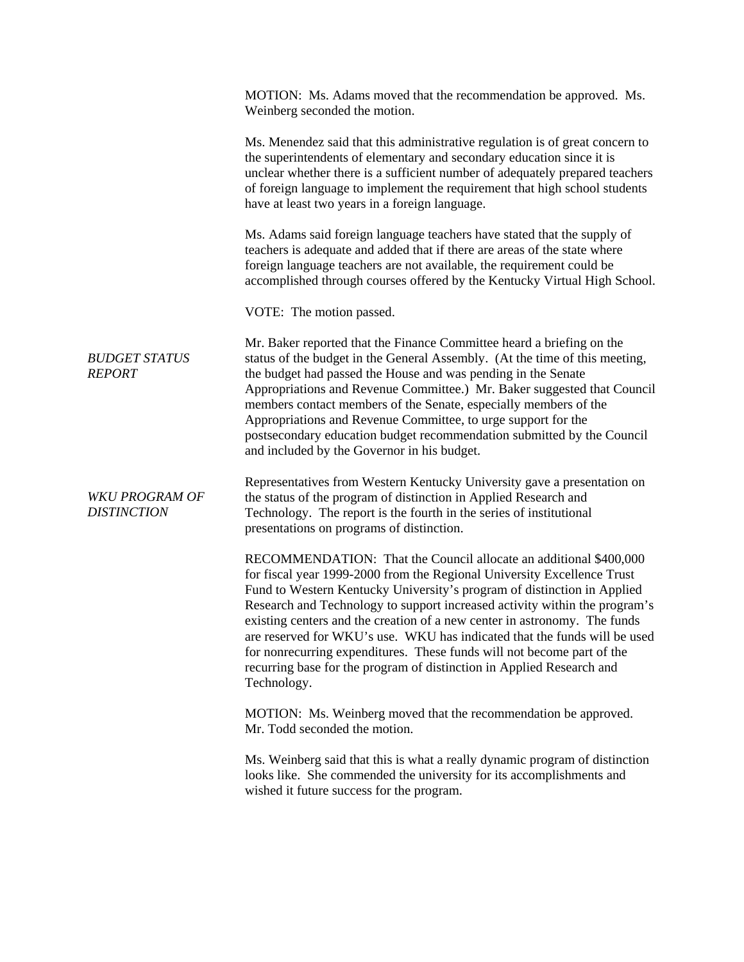|                                       | MOTION: Ms. Adams moved that the recommendation be approved. Ms.<br>Weinberg seconded the motion.                                                                                                                                                                                                                                                                                                                                                                                                                                                                                                                                 |
|---------------------------------------|-----------------------------------------------------------------------------------------------------------------------------------------------------------------------------------------------------------------------------------------------------------------------------------------------------------------------------------------------------------------------------------------------------------------------------------------------------------------------------------------------------------------------------------------------------------------------------------------------------------------------------------|
|                                       | Ms. Menendez said that this administrative regulation is of great concern to<br>the superintendents of elementary and secondary education since it is<br>unclear whether there is a sufficient number of adequately prepared teachers<br>of foreign language to implement the requirement that high school students<br>have at least two years in a foreign language.                                                                                                                                                                                                                                                             |
|                                       | Ms. Adams said foreign language teachers have stated that the supply of<br>teachers is adequate and added that if there are areas of the state where<br>foreign language teachers are not available, the requirement could be<br>accomplished through courses offered by the Kentucky Virtual High School.                                                                                                                                                                                                                                                                                                                        |
|                                       | VOTE: The motion passed.                                                                                                                                                                                                                                                                                                                                                                                                                                                                                                                                                                                                          |
| <b>BUDGET STATUS</b><br><b>REPORT</b> | Mr. Baker reported that the Finance Committee heard a briefing on the<br>status of the budget in the General Assembly. (At the time of this meeting,<br>the budget had passed the House and was pending in the Senate<br>Appropriations and Revenue Committee.) Mr. Baker suggested that Council<br>members contact members of the Senate, especially members of the<br>Appropriations and Revenue Committee, to urge support for the<br>postsecondary education budget recommendation submitted by the Council<br>and included by the Governor in his budget.                                                                    |
| WKU PROGRAM OF<br><b>DISTINCTION</b>  | Representatives from Western Kentucky University gave a presentation on<br>the status of the program of distinction in Applied Research and<br>Technology. The report is the fourth in the series of institutional<br>presentations on programs of distinction.                                                                                                                                                                                                                                                                                                                                                                   |
|                                       | RECOMMENDATION: That the Council allocate an additional \$400,000<br>for fiscal year 1999-2000 from the Regional University Excellence Trust<br>Fund to Western Kentucky University's program of distinction in Applied<br>Research and Technology to support increased activity within the program's<br>existing centers and the creation of a new center in astronomy. The funds<br>are reserved for WKU's use. WKU has indicated that the funds will be used<br>for nonrecurring expenditures. These funds will not become part of the<br>recurring base for the program of distinction in Applied Research and<br>Technology. |
|                                       | MOTION: Ms. Weinberg moved that the recommendation be approved.<br>Mr. Todd seconded the motion.                                                                                                                                                                                                                                                                                                                                                                                                                                                                                                                                  |
|                                       | Ms. Weinberg said that this is what a really dynamic program of distinction<br>looks like. She commended the university for its accomplishments and<br>wished it future success for the program.                                                                                                                                                                                                                                                                                                                                                                                                                                  |
|                                       |                                                                                                                                                                                                                                                                                                                                                                                                                                                                                                                                                                                                                                   |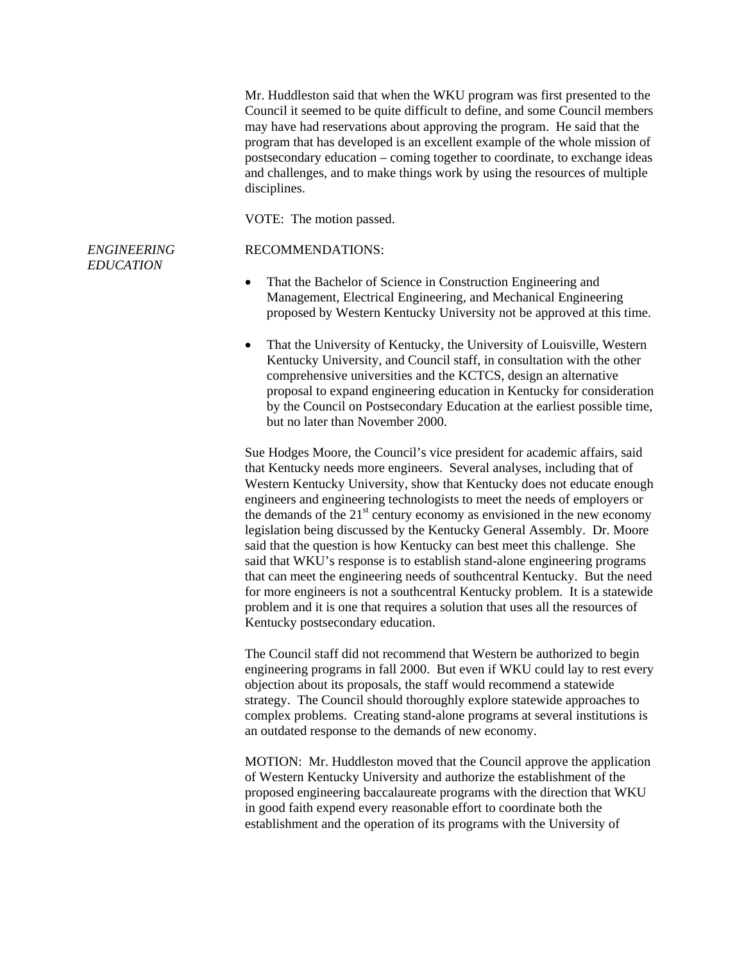*ENGINEERING EDUCATION*  Mr. Huddleston said that when the WKU program was first presented to the Council it seemed to be quite difficult to define, and some Council members may have had reservations about approving the program. He said that the program that has developed is an excellent example of the whole mission of postsecondary education – coming together to coordinate, to exchange ideas and challenges, and to make things work by using the resources of multiple disciplines. VOTE: The motion passed. RECOMMENDATIONS: • That the Bachelor of Science in Construction Engineering and Management, Electrical Engineering, and Mechanical Engineering proposed by Western Kentucky University not be approved at this time. • That the University of Kentucky, the University of Louisville, Western Kentucky University, and Council staff, in consultation with the other comprehensive universities and the KCTCS, design an alternative proposal to expand engineering education in Kentucky for consideration by the Council on Postsecondary Education at the earliest possible time, but no later than November 2000. Sue Hodges Moore, the Council's vice president for academic affairs, said that Kentucky needs more engineers. Several analyses, including that of Western Kentucky University, show that Kentucky does not educate enough engineers and engineering technologists to meet the needs of employers or the demands of the  $21<sup>st</sup>$  century economy as envisioned in the new economy legislation being discussed by the Kentucky General Assembly. Dr. Moore said that the question is how Kentucky can best meet this challenge. She said that WKU's response is to establish stand-alone engineering programs that can meet the engineering needs of southcentral Kentucky. But the need for more engineers is not a southcentral Kentucky problem. It is a statewide problem and it is one that requires a solution that uses all the resources of Kentucky postsecondary education. The Council staff did not recommend that Western be authorized to begin engineering programs in fall 2000. But even if WKU could lay to rest every

objection about its proposals, the staff would recommend a statewide strategy. The Council should thoroughly explore statewide approaches to complex problems. Creating stand-alone programs at several institutions is an outdated response to the demands of new economy.

MOTION: Mr. Huddleston moved that the Council approve the application of Western Kentucky University and authorize the establishment of the proposed engineering baccalaureate programs with the direction that WKU in good faith expend every reasonable effort to coordinate both the establishment and the operation of its programs with the University of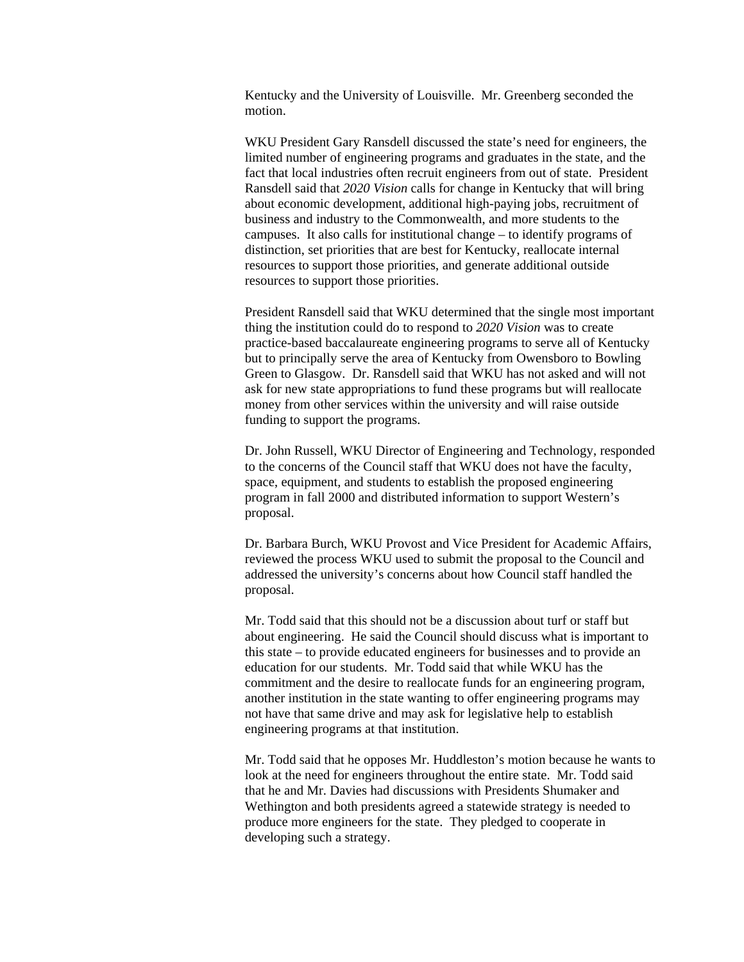Kentucky and the University of Louisville. Mr. Greenberg seconded the motion.

WKU President Gary Ransdell discussed the state's need for engineers, the limited number of engineering programs and graduates in the state, and the fact that local industries often recruit engineers from out of state. President Ransdell said that *2020 Vision* calls for change in Kentucky that will bring about economic development, additional high-paying jobs, recruitment of business and industry to the Commonwealth, and more students to the campuses. It also calls for institutional change – to identify programs of distinction, set priorities that are best for Kentucky, reallocate internal resources to support those priorities, and generate additional outside resources to support those priorities.

President Ransdell said that WKU determined that the single most important thing the institution could do to respond to *2020 Vision* was to create practice-based baccalaureate engineering programs to serve all of Kentucky but to principally serve the area of Kentucky from Owensboro to Bowling Green to Glasgow. Dr. Ransdell said that WKU has not asked and will not ask for new state appropriations to fund these programs but will reallocate money from other services within the university and will raise outside funding to support the programs.

Dr. John Russell, WKU Director of Engineering and Technology, responded to the concerns of the Council staff that WKU does not have the faculty, space, equipment, and students to establish the proposed engineering program in fall 2000 and distributed information to support Western's proposal.

Dr. Barbara Burch, WKU Provost and Vice President for Academic Affairs, reviewed the process WKU used to submit the proposal to the Council and addressed the university's concerns about how Council staff handled the proposal.

Mr. Todd said that this should not be a discussion about turf or staff but about engineering. He said the Council should discuss what is important to this state – to provide educated engineers for businesses and to provide an education for our students. Mr. Todd said that while WKU has the commitment and the desire to reallocate funds for an engineering program, another institution in the state wanting to offer engineering programs may not have that same drive and may ask for legislative help to establish engineering programs at that institution.

Mr. Todd said that he opposes Mr. Huddleston's motion because he wants to look at the need for engineers throughout the entire state. Mr. Todd said that he and Mr. Davies had discussions with Presidents Shumaker and Wethington and both presidents agreed a statewide strategy is needed to produce more engineers for the state. They pledged to cooperate in developing such a strategy.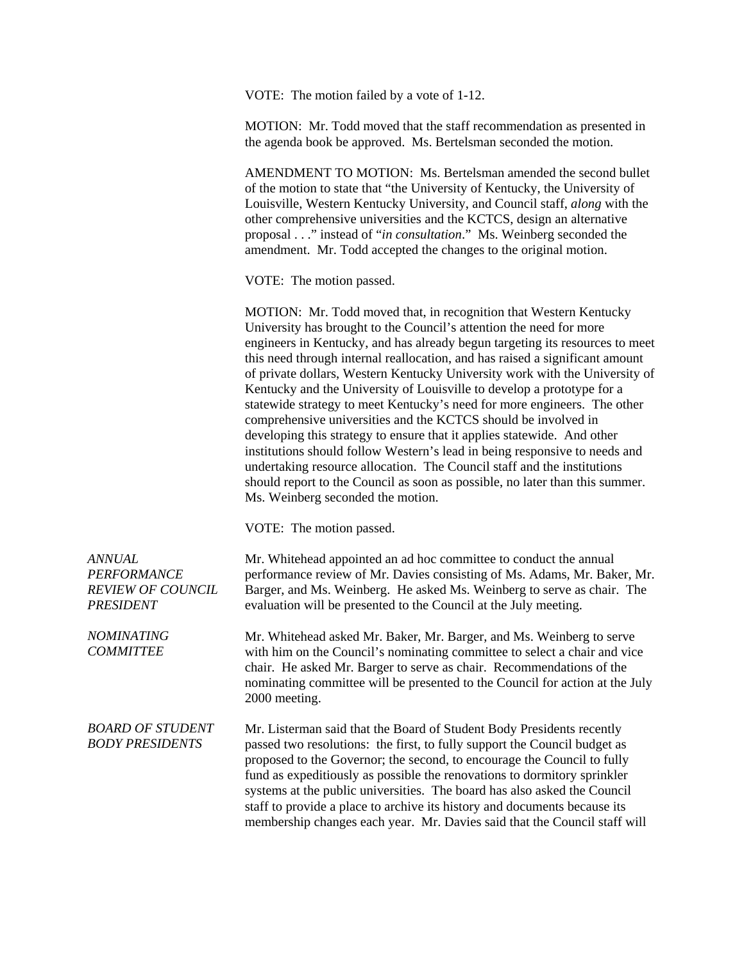VOTE: The motion failed by a vote of 1-12.

MOTION: Mr. Todd moved that the staff recommendation as presented in the agenda book be approved. Ms. Bertelsman seconded the motion.

AMENDMENT TO MOTION: Ms. Bertelsman amended the second bullet of the motion to state that "the University of Kentucky, the University of Louisville, Western Kentucky University, and Council staff, *along* with the other comprehensive universities and the KCTCS, design an alternative proposal . . ." instead of "*in consultation*." Ms. Weinberg seconded the amendment. Mr. Todd accepted the changes to the original motion.

VOTE: The motion passed.

MOTION: Mr. Todd moved that, in recognition that Western Kentucky University has brought to the Council's attention the need for more engineers in Kentucky, and has already begun targeting its resources to meet this need through internal reallocation, and has raised a significant amount of private dollars, Western Kentucky University work with the University of Kentucky and the University of Louisville to develop a prototype for a statewide strategy to meet Kentucky's need for more engineers. The other comprehensive universities and the KCTCS should be involved in developing this strategy to ensure that it applies statewide. And other institutions should follow Western's lead in being responsive to needs and undertaking resource allocation. The Council staff and the institutions should report to the Council as soon as possible, no later than this summer. Ms. Weinberg seconded the motion.

VOTE: The motion passed.

| ANNUAL<br><b>PERFORMANCE</b><br><b>REVIEW OF COUNCIL</b><br><b>PRESIDENT</b> | Mr. Whitehead appointed an ad hoc committee to conduct the annual<br>performance review of Mr. Davies consisting of Ms. Adams, Mr. Baker, Mr.<br>Barger, and Ms. Weinberg. He asked Ms. Weinberg to serve as chair. The<br>evaluation will be presented to the Council at the July meeting.                                                                                                                                                                                                                                                     |
|------------------------------------------------------------------------------|-------------------------------------------------------------------------------------------------------------------------------------------------------------------------------------------------------------------------------------------------------------------------------------------------------------------------------------------------------------------------------------------------------------------------------------------------------------------------------------------------------------------------------------------------|
| <b>NOMINATING</b><br><b>COMMITTEE</b>                                        | Mr. Whitehead asked Mr. Baker, Mr. Barger, and Ms. Weinberg to serve<br>with him on the Council's nominating committee to select a chair and vice<br>chair. He asked Mr. Barger to serve as chair. Recommendations of the<br>nominating committee will be presented to the Council for action at the July<br>2000 meeting.                                                                                                                                                                                                                      |
| <b>BOARD OF STUDENT</b><br><b>BODY PRESIDENTS</b>                            | Mr. Listerman said that the Board of Student Body Presidents recently<br>passed two resolutions: the first, to fully support the Council budget as<br>proposed to the Governor; the second, to encourage the Council to fully<br>fund as expeditiously as possible the renovations to dormitory sprinkler<br>systems at the public universities. The board has also asked the Council<br>staff to provide a place to archive its history and documents because its<br>membership changes each year. Mr. Davies said that the Council staff will |